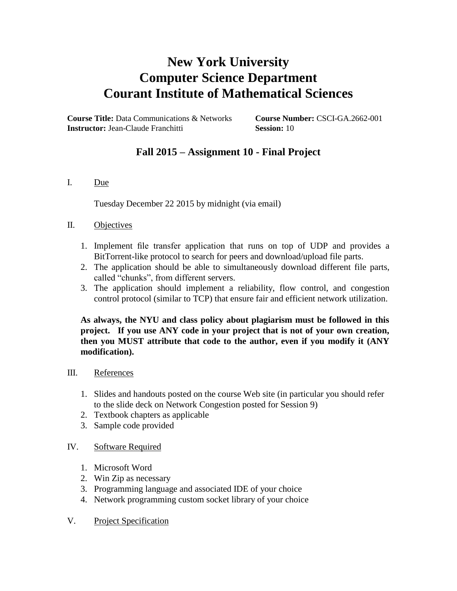# **New York University Computer Science Department Courant Institute of Mathematical Sciences**

**Course Title:** Data Communications & Networks **Course Number:** CSCI-GA.2662-001 **Instructor:** Jean-Claude Franchitti **Session:** 10

# **Fall 2015 – Assignment 10 - Final Project**

## I. Due

Tuesday December 22 2015 by midnight (via email)

## II. Objectives

- 1. Implement file transfer application that runs on top of UDP and provides a BitTorrent-like protocol to search for peers and download/upload file parts.
- 2. The application should be able to simultaneously download different file parts, called "chunks", from different servers.
- 3. The application should implement a reliability, flow control, and congestion control protocol (similar to TCP) that ensure fair and efficient network utilization.

**As always, the NYU and class policy about plagiarism must be followed in this project. If you use ANY code in your project that is not of your own creation, then you MUST attribute that code to the author, even if you modify it (ANY modification).**

- III. References
	- 1. Slides and handouts posted on the course Web site (in particular you should refer to the slide deck on Network Congestion posted for Session 9)
	- 2. Textbook chapters as applicable
	- 3. Sample code provided

## IV. Software Required

- 1. Microsoft Word
- 2. Win Zip as necessary
- 3. Programming language and associated IDE of your choice
- 4. Network programming custom socket library of your choice
- V. Project Specification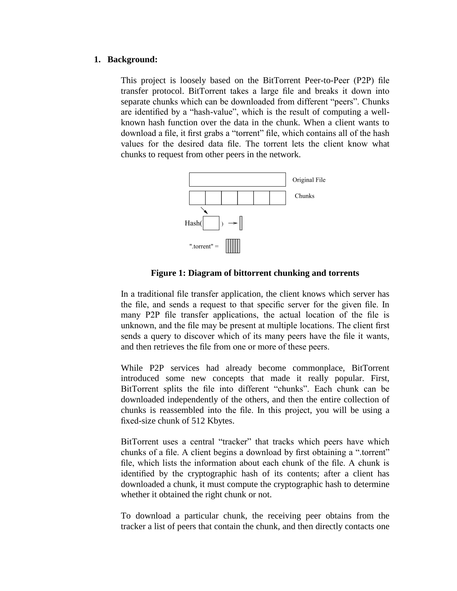#### **1. Background:**

This project is loosely based on the BitTorrent Peer-to-Peer (P2P) file transfer protocol. BitTorrent takes a large file and breaks it down into separate chunks which can be downloaded from different "peers". Chunks are identified by a "hash-value", which is the result of computing a wellknown hash function over the data in the chunk. When a client wants to download a file, it first grabs a "torrent" file, which contains all of the hash values for the desired data file. The torrent lets the client know what chunks to request from other peers in the network.



## **Figure 1: Diagram of bittorrent chunking and torrents**

In a traditional file transfer application, the client knows which server has the file, and sends a request to that specific server for the given file. In many P2P file transfer applications, the actual location of the file is unknown, and the file may be present at multiple locations. The client first sends a query to discover which of its many peers have the file it wants, and then retrieves the file from one or more of these peers.

While P2P services had already become commonplace, BitTorrent introduced some new concepts that made it really popular. First, BitTorrent splits the file into different "chunks". Each chunk can be downloaded independently of the others, and then the entire collection of chunks is reassembled into the file. In this project, you will be using a fixed-size chunk of 512 Kbytes.

BitTorrent uses a central "tracker" that tracks which peers have which chunks of a file. A client begins a download by first obtaining a ".torrent" file, which lists the information about each chunk of the file. A chunk is identified by the cryptographic hash of its contents; after a client has downloaded a chunk, it must compute the cryptographic hash to determine whether it obtained the right chunk or not.

To download a particular chunk, the receiving peer obtains from the tracker a list of peers that contain the chunk, and then directly contacts one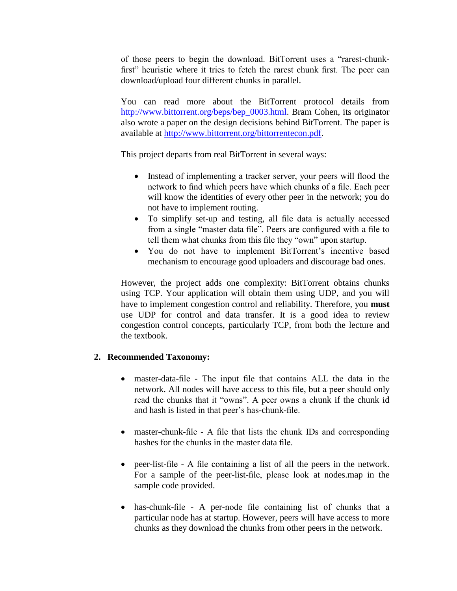of those peers to begin the download. BitTorrent uses a "rarest-chunkfirst" heuristic where it tries to fetch the rarest chunk first. The peer can download/upload four different chunks in parallel.

You can read more about the BitTorrent protocol details from [http://www.bittorrent.org/beps/bep\\_0003.html.](http://www.bittorrent.org/beps/bep_0003.html) Bram Cohen, its originator also wrote a paper on the design decisions behind BitTorrent. The paper is available at [http://www.bittorrent.org/bittorrentecon.pdf.](http://www.bittorrent.org/bittorrentecon.pdf)

This project departs from real BitTorrent in several ways:

- Instead of implementing a tracker server, your peers will flood the network to find which peers have which chunks of a file. Each peer will know the identities of every other peer in the network; you do not have to implement routing.
- To simplify set-up and testing, all file data is actually accessed from a single "master data file". Peers are configured with a file to tell them what chunks from this file they "own" upon startup.
- You do not have to implement BitTorrent's incentive based mechanism to encourage good uploaders and discourage bad ones.

However, the project adds one complexity: BitTorrent obtains chunks using TCP. Your application will obtain them using UDP, and you will have to implement congestion control and reliability. Therefore, you **must** use UDP for control and data transfer. It is a good idea to review congestion control concepts, particularly TCP, from both the lecture and the textbook.

# **2. Recommended Taxonomy:**

- master-data-file The input file that contains ALL the data in the network. All nodes will have access to this file, but a peer should only read the chunks that it "owns". A peer owns a chunk if the chunk id and hash is listed in that peer's has-chunk-file.
- master-chunk-file A file that lists the chunk IDs and corresponding hashes for the chunks in the master data file.
- peer-list-file A file containing a list of all the peers in the network. For a sample of the peer-list-file, please look at nodes.map in the sample code provided.
- has-chunk-file A per-node file containing list of chunks that a particular node has at startup. However, peers will have access to more chunks as they download the chunks from other peers in the network.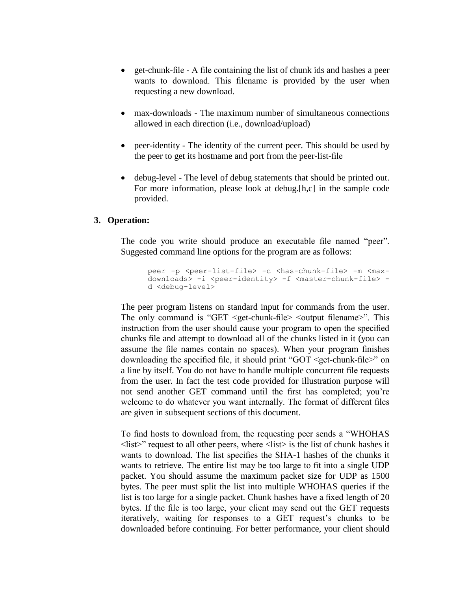- get-chunk-file A file containing the list of chunk ids and hashes a peer wants to download. This filename is provided by the user when requesting a new download.
- max-downloads The maximum number of simultaneous connections allowed in each direction (i.e., download/upload)
- peer-identity The identity of the current peer. This should be used by the peer to get its hostname and port from the peer-list-file
- debug-level The level of debug statements that should be printed out. For more information, please look at debug.[h,c] in the sample code provided.

## **3. Operation:**

The code you write should produce an executable file named "peer". Suggested command line options for the program are as follows:

```
peer -p <peer-list-file> -c <has-chunk-file> -m <max-
downloads> -i <peer-identity> -f <master-chunk-file> -
d <debug-level>
```
The peer program listens on standard input for commands from the user. The only command is "GET  $\leq$ get-chunk-file $\geq$   $\leq$ output filename $\geq$ ". This instruction from the user should cause your program to open the specified chunks file and attempt to download all of the chunks listed in it (you can assume the file names contain no spaces). When your program finishes downloading the specified file, it should print "GOT <get-chunk-file>" on a line by itself. You do not have to handle multiple concurrent file requests from the user. In fact the test code provided for illustration purpose will not send another GET command until the first has completed; you're welcome to do whatever you want internally. The format of different files are given in subsequent sections of this document.

To find hosts to download from, the requesting peer sends a "WHOHAS  $\langle$ list $\rangle$ " request to all other peers, where  $\langle$ list $\rangle$  is the list of chunk hashes it wants to download. The list specifies the SHA-1 hashes of the chunks it wants to retrieve. The entire list may be too large to fit into a single UDP packet. You should assume the maximum packet size for UDP as 1500 bytes. The peer must split the list into multiple WHOHAS queries if the list is too large for a single packet. Chunk hashes have a fixed length of 20 bytes. If the file is too large, your client may send out the GET requests iteratively, waiting for responses to a GET request's chunks to be downloaded before continuing. For better performance, your client should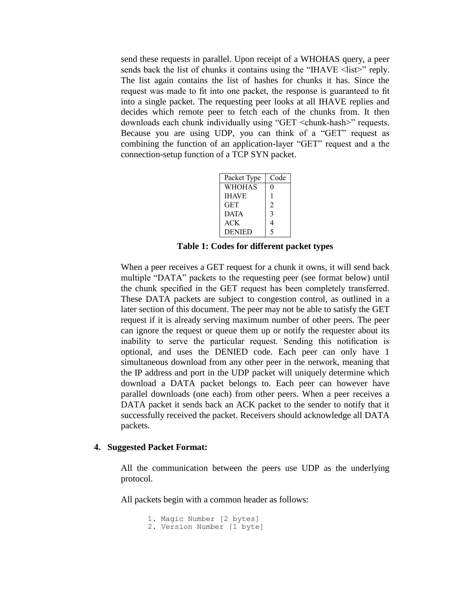send these requests in parallel. Upon receipt of a WHOHAS query, a peer sends back the list of chunks it contains using the "IHAVE <list>" reply. The list again contains the list of hashes for chunks it has. Since the request was made to fit into one packet, the response is guaranteed to fit into a single packet. The requesting peer looks at all IHAVE replies and decides which remote peer to fetch each of the chunks from. It then downloads each chunk individually using "GET <chunk-hash>" requests. Because you are using UDP, you can think of a "GET" request as combining the function of an application-layer "GET" request and a the connection-setup function of a TCP SYN packet.

| Packet Type   | Code |
|---------------|------|
| WHOHAS        | 0    |
| <b>IHAVE</b>  | ı    |
| GET           | 2    |
| <b>DATA</b>   | 3    |
| ACK           | 4    |
| <b>DENIED</b> | 5    |

**Table 1: Codes for different packet types**

When a peer receives a GET request for a chunk it owns, it will send back multiple "DATA" packets to the requesting peer (see format below) until the chunk specified in the GET request has been completely transferred. These DATA packets are subject to congestion control, as outlined in a later section of this document. The peer may not be able to satisfy the GET request if it is already serving maximum number of other peers. The peer can ignore the request or queue them up or notify the requester about its inability to serve the particular request. Sending this notification is optional, and uses the DENIED code. Each peer can only have 1 simultaneous download from any other peer in the network, meaning that the IP address and port in the UDP packet will uniquely determine which download a DATA packet belongs to. Each peer can however have parallel downloads (one each) from other peers. When a peer receives a DATA packet it sends back an ACK packet to the sender to notify that it successfully received the packet. Receivers should acknowledge all DATA packets.

#### **4. Suggested Packet Format:**

All the communication between the peers use UDP as the underlying protocol.

All packets begin with a common header as follows:

```
1. Magic Number [2 bytes]
2. Version Number [1 byte]
```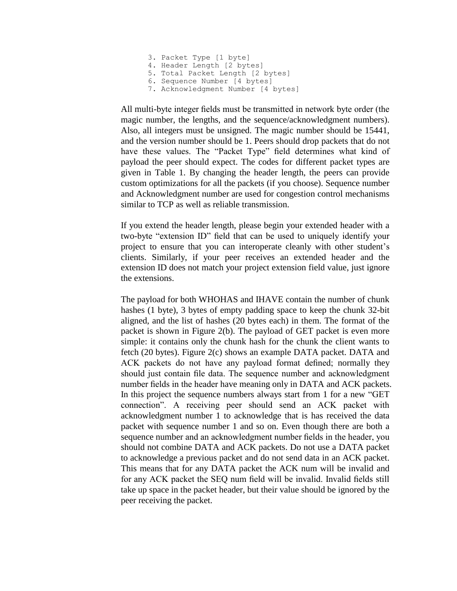```
3. Packet Type [1 byte]
4. Header Length [2 bytes]
5. Total Packet Length [2 bytes]
6. Sequence Number [4 bytes]
7. Acknowledgment Number [4 bytes]
```
All multi-byte integer fields must be transmitted in network byte order (the magic number, the lengths, and the sequence/acknowledgment numbers). Also, all integers must be unsigned. The magic number should be 15441, and the version number should be 1. Peers should drop packets that do not have these values. The "Packet Type" field determines what kind of payload the peer should expect. The codes for different packet types are given in Table 1. By changing the header length, the peers can provide custom optimizations for all the packets (if you choose). Sequence number and Acknowledgment number are used for congestion control mechanisms similar to TCP as well as reliable transmission.

If you extend the header length, please begin your extended header with a two-byte "extension ID" field that can be used to uniquely identify your project to ensure that you can interoperate cleanly with other student's clients. Similarly, if your peer receives an extended header and the extension ID does not match your project extension field value, just ignore the extensions.

The payload for both WHOHAS and IHAVE contain the number of chunk hashes (1 byte), 3 bytes of empty padding space to keep the chunk 32-bit aligned, and the list of hashes (20 bytes each) in them. The format of the packet is shown in Figure 2(b). The payload of GET packet is even more simple: it contains only the chunk hash for the chunk the client wants to fetch (20 bytes). Figure 2(c) shows an example DATA packet. DATA and ACK packets do not have any payload format defined; normally they should just contain file data. The sequence number and acknowledgment number fields in the header have meaning only in DATA and ACK packets. In this project the sequence numbers always start from 1 for a new "GET connection". A receiving peer should send an ACK packet with acknowledgment number 1 to acknowledge that is has received the data packet with sequence number 1 and so on. Even though there are both a sequence number and an acknowledgment number fields in the header, you should not combine DATA and ACK packets. Do not use a DATA packet to acknowledge a previous packet and do not send data in an ACK packet. This means that for any DATA packet the ACK num will be invalid and for any ACK packet the SEQ num field will be invalid. Invalid fields still take up space in the packet header, but their value should be ignored by the peer receiving the packet.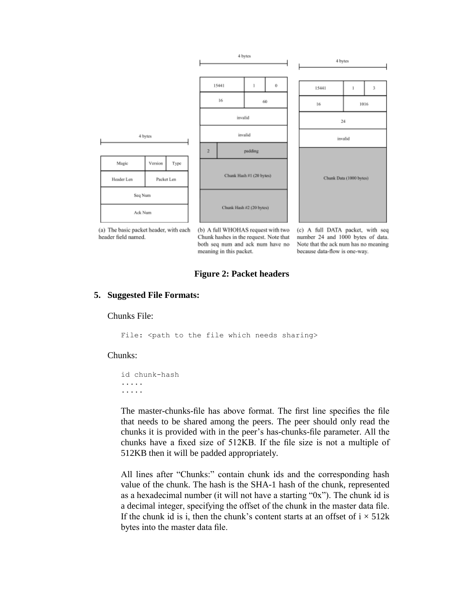

(a) The basic packet header, with each header field named.

(b) A full WHOHAS request with two Chunk hashes in the request. Note that both seq num and ack num have no meaning in this packet.

(c) A full DATA packet, with seq number 24 and 1000 bytes of data. Note that the ack num has no meaning because data-flow is one-way.

#### **Figure 2: Packet headers**

#### **5. Suggested File Formats:**

#### Chunks File:

File: < path to the file which needs sharing>

Chunks:

id chunk-hash ..... .....

The master-chunks-file has above format. The first line specifies the file that needs to be shared among the peers. The peer should only read the chunks it is provided with in the peer's has-chunks-file parameter. All the chunks have a fixed size of 512KB. If the file size is not a multiple of 512KB then it will be padded appropriately.

All lines after "Chunks:" contain chunk ids and the corresponding hash value of the chunk. The hash is the SHA-1 hash of the chunk, represented as a hexadecimal number (it will not have a starting "0x"). The chunk id is a decimal integer, specifying the offset of the chunk in the master data file. If the chunk id is i, then the chunk's content starts at an offset of  $i \times 512k$ bytes into the master data file.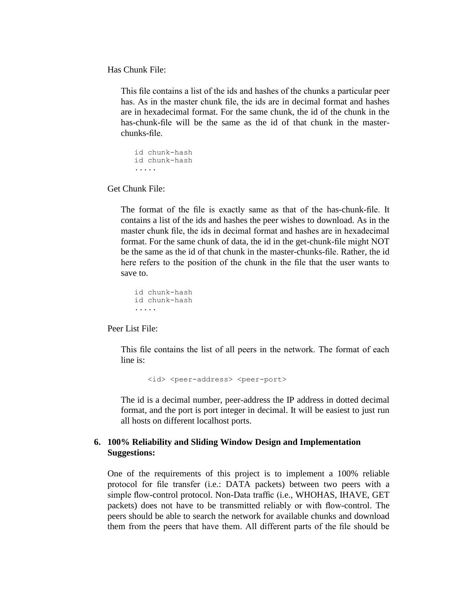Has Chunk File:

This file contains a list of the ids and hashes of the chunks a particular peer has. As in the master chunk file, the ids are in decimal format and hashes are in hexadecimal format. For the same chunk, the id of the chunk in the has-chunk-file will be the same as the id of that chunk in the masterchunks-file.

```
id chunk-hash
id chunk-hash
.....
```
Get Chunk File:

The format of the file is exactly same as that of the has-chunk-file. It contains a list of the ids and hashes the peer wishes to download. As in the master chunk file, the ids in decimal format and hashes are in hexadecimal format. For the same chunk of data, the id in the get-chunk-file might NOT be the same as the id of that chunk in the master-chunks-file. Rather, the id here refers to the position of the chunk in the file that the user wants to save to.

```
id chunk-hash
id chunk-hash
.....
```
Peer List File:

This file contains the list of all peers in the network. The format of each line is:

<id> <peer-address> <peer-port>

The id is a decimal number, peer-address the IP address in dotted decimal format, and the port is port integer in decimal. It will be easiest to just run all hosts on different localhost ports.

## **6. 100% Reliability and Sliding Window Design and Implementation Suggestions:**

One of the requirements of this project is to implement a 100% reliable protocol for file transfer (i.e.: DATA packets) between two peers with a simple flow-control protocol. Non-Data traffic (i.e., WHOHAS, IHAVE, GET packets) does not have to be transmitted reliably or with flow-control. The peers should be able to search the network for available chunks and download them from the peers that have them. All different parts of the file should be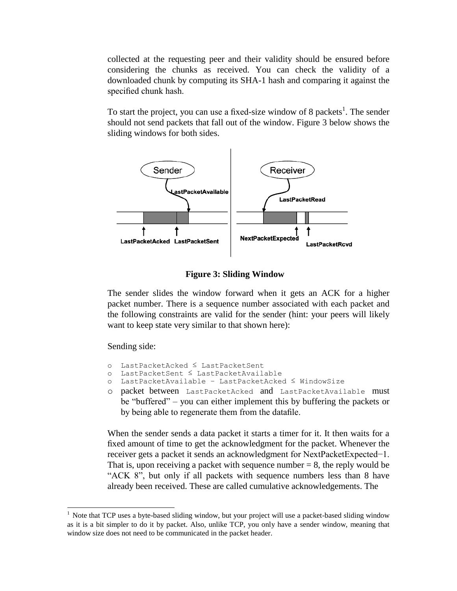collected at the requesting peer and their validity should be ensured before considering the chunks as received. You can check the validity of a downloaded chunk by computing its SHA-1 hash and comparing it against the specified chunk hash.

To start the project, you can use a fixed-size window of 8 packets<sup>1</sup>. The sender should not send packets that fall out of the window. Figure 3 below shows the sliding windows for both sides.



**Figure 3: Sliding Window**

The sender slides the window forward when it gets an ACK for a higher packet number. There is a sequence number associated with each packet and the following constraints are valid for the sender (hint: your peers will likely want to keep state very similar to that shown here):

Sending side:

 $\overline{\phantom{a}}$ 

- o LastPacketAcked ≤ LastPacketSent
- o LastPacketSent ≤ LastPacketAvailable
- o LastPacketAvailable − LastPacketAcked ≤ WindowSize
- o packet between LastPacketAcked and LastPacketAvailable must be "buffered" – you can either implement this by buffering the packets or by being able to regenerate them from the datafile.

When the sender sends a data packet it starts a timer for it. It then waits for a fixed amount of time to get the acknowledgment for the packet. Whenever the receiver gets a packet it sends an acknowledgment for NextPacketExpected−1. That is, upon receiving a packet with sequence number  $= 8$ , the reply would be "ACK 8", but only if all packets with sequence numbers less than 8 have already been received. These are called cumulative acknowledgements. The

<sup>&</sup>lt;sup>1</sup> Note that TCP uses a byte-based sliding window, but your project will use a packet-based sliding window as it is a bit simpler to do it by packet. Also, unlike TCP, you only have a sender window, meaning that window size does not need to be communicated in the packet header.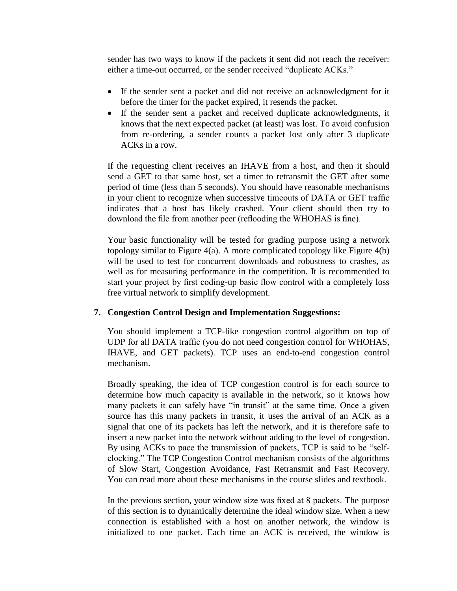sender has two ways to know if the packets it sent did not reach the receiver: either a time-out occurred, or the sender received "duplicate ACKs."

- If the sender sent a packet and did not receive an acknowledgment for it before the timer for the packet expired, it resends the packet.
- If the sender sent a packet and received duplicate acknowledgments, it knows that the next expected packet (at least) was lost. To avoid confusion from re-ordering, a sender counts a packet lost only after 3 duplicate ACKs in a row.

If the requesting client receives an IHAVE from a host, and then it should send a GET to that same host, set a timer to retransmit the GET after some period of time (less than 5 seconds). You should have reasonable mechanisms in your client to recognize when successive timeouts of DATA or GET traffic indicates that a host has likely crashed. Your client should then try to download the file from another peer (reflooding the WHOHAS is fine).

Your basic functionality will be tested for grading purpose using a network topology similar to Figure 4(a). A more complicated topology like Figure 4(b) will be used to test for concurrent downloads and robustness to crashes, as well as for measuring performance in the competition. It is recommended to start your project by first coding-up basic flow control with a completely loss free virtual network to simplify development.

# **7. Congestion Control Design and Implementation Suggestions:**

You should implement a TCP-like congestion control algorithm on top of UDP for all DATA traffic (you do not need congestion control for WHOHAS, IHAVE, and GET packets). TCP uses an end-to-end congestion control mechanism.

Broadly speaking, the idea of TCP congestion control is for each source to determine how much capacity is available in the network, so it knows how many packets it can safely have "in transit" at the same time. Once a given source has this many packets in transit, it uses the arrival of an ACK as a signal that one of its packets has left the network, and it is therefore safe to insert a new packet into the network without adding to the level of congestion. By using ACKs to pace the transmission of packets, TCP is said to be "selfclocking." The TCP Congestion Control mechanism consists of the algorithms of Slow Start, Congestion Avoidance, Fast Retransmit and Fast Recovery. You can read more about these mechanisms in the course slides and textbook.

In the previous section, your window size was fixed at 8 packets. The purpose of this section is to dynamically determine the ideal window size. When a new connection is established with a host on another network, the window is initialized to one packet. Each time an ACK is received, the window is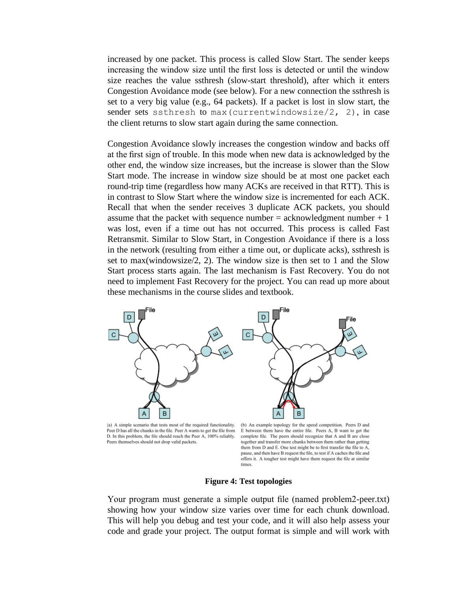increased by one packet. This process is called Slow Start. The sender keeps increasing the window size until the first loss is detected or until the window size reaches the value ssthresh (slow-start threshold), after which it enters Congestion Avoidance mode (see below). For a new connection the ssthresh is set to a very big value (e.g., 64 packets). If a packet is lost in slow start, the sender sets ssthresh to max (currentwindowsize/2, 2), in case the client returns to slow start again during the same connection.

Congestion Avoidance slowly increases the congestion window and backs off at the first sign of trouble. In this mode when new data is acknowledged by the other end, the window size increases, but the increase is slower than the Slow Start mode. The increase in window size should be at most one packet each round-trip time (regardless how many ACKs are received in that RTT). This is in contrast to Slow Start where the window size is incremented for each ACK. Recall that when the sender receives 3 duplicate ACK packets, you should assume that the packet with sequence number  $=$  acknowledgment number  $+1$ was lost, even if a time out has not occurred. This process is called Fast Retransmit. Similar to Slow Start, in Congestion Avoidance if there is a loss in the network (resulting from either a time out, or duplicate acks), ssthresh is set to max(windowsize/2, 2). The window size is then set to 1 and the Slow Start process starts again. The last mechanism is Fast Recovery. You do not need to implement Fast Recovery for the project. You can read up more about these mechanisms in the course slides and textbook.



(a) A simple scenario that tests most of the required functionality. Peer D has all the chunks in the file. Peer A wants to get the file from D. In this problem, the file should reach the Peer A, 100% reliably. Peers themselves should not drop valid packets.

(b) An example topology for the speed competition. Peers D and E between them have the entire file. Peers A, B want to get the complete file. The peers should recognize that A and B are close together and transfer more chunks between them rather than getting them from D and E. One test might be to first transfer the file to A, pause, and then have B request the file, to test if A caches the file and offers it. A tougher test might have them request the file at similar times.

#### **Figure 4: Test topologies**

Your program must generate a simple output file (named problem2-peer.txt) showing how your window size varies over time for each chunk download. This will help you debug and test your code, and it will also help assess your code and grade your project. The output format is simple and will work with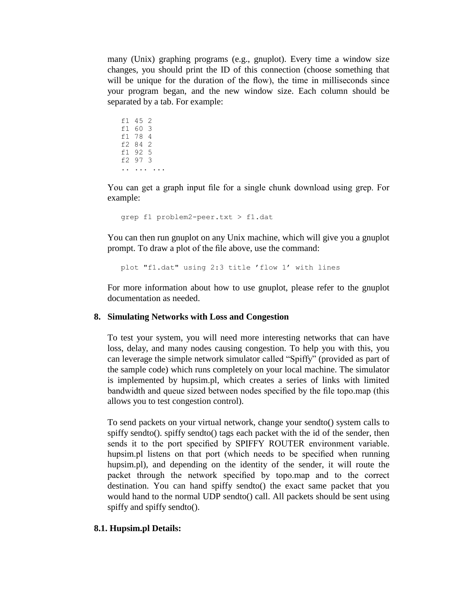many (Unix) graphing programs (e.g., gnuplot). Every time a window size changes, you should print the ID of this connection (choose something that will be unique for the duration of the flow), the time in milliseconds since your program began, and the new window size. Each column should be separated by a tab. For example:

f1 45 2 f1 60 3 f1 78 4 f2 84 2 f1 92 5 f2 97 3 .. ... ...

You can get a graph input file for a single chunk download using grep. For example:

```
grep f1 problem2-peer.txt > f1.dat
```
You can then run gnuplot on any Unix machine, which will give you a gnuplot prompt. To draw a plot of the file above, use the command:

```
plot "f1.dat" using 2:3 title 'flow 1' with lines
```
For more information about how to use gnuplot, please refer to the gnuplot documentation as needed.

## **8. Simulating Networks with Loss and Congestion**

To test your system, you will need more interesting networks that can have loss, delay, and many nodes causing congestion. To help you with this, you can leverage the simple network simulator called "Spiffy" (provided as part of the sample code) which runs completely on your local machine. The simulator is implemented by hupsim.pl, which creates a series of links with limited bandwidth and queue sized between nodes specified by the file topo.map (this allows you to test congestion control).

To send packets on your virtual network, change your sendto() system calls to spiffy sendto(). spiffy sendto() tags each packet with the id of the sender, then sends it to the port specified by SPIFFY ROUTER environment variable. hupsim.pl listens on that port (which needs to be specified when running hupsim.pl), and depending on the identity of the sender, it will route the packet through the network specified by topo.map and to the correct destination. You can hand spiffy sendto() the exact same packet that you would hand to the normal UDP sendto() call. All packets should be sent using spiffy and spiffy sendto().

## **8.1. Hupsim.pl Details:**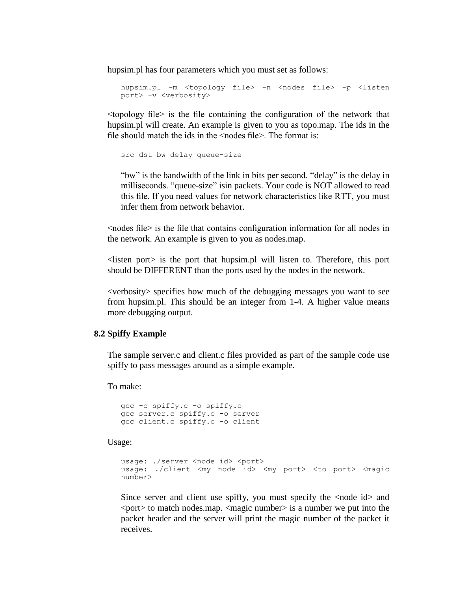hupsim.pl has four parameters which you must set as follows:

```
hupsim.pl -m <topology file> -n <nodes file> -p <listen
port> -v <verbosity>
```
<topology file> is the file containing the configuration of the network that hupsim.pl will create. An example is given to you as topo.map. The ids in the file should match the ids in the  $\leq$  nodes file >. The format is:

src dst bw delay queue-size

"bw" is the bandwidth of the link in bits per second. "delay" is the delay in milliseconds. "queue-size" isin packets. Your code is NOT allowed to read this file. If you need values for network characteristics like RTT, you must infer them from network behavior.

<nodes file> is the file that contains configuration information for all nodes in the network. An example is given to you as nodes.map.

 $\leq$  listen port $\geq$  is the port that hupsim.pl will listen to. Therefore, this port should be DIFFERENT than the ports used by the nodes in the network.

<verbosity> specifies how much of the debugging messages you want to see from hupsim.pl. This should be an integer from 1-4. A higher value means more debugging output.

#### **8.2 Spiffy Example**

The sample server.c and client.c files provided as part of the sample code use spiffy to pass messages around as a simple example.

To make:

```
gcc -c spiffy.c -o spiffy.o
gcc server.c spiffy.o -o server
gcc client.c spiffy.o -o client
```
Usage:

```
usage: ./server <node id> <port>
usage: ./client <my node id> <my port> <to port> <magic
number>
```
Since server and client use spiffy, you must specify the  $\langle \text{node id} \rangle$  and  $\leq$  port to match nodes map.  $\leq$  magic number is a number we put into the packet header and the server will print the magic number of the packet it receives.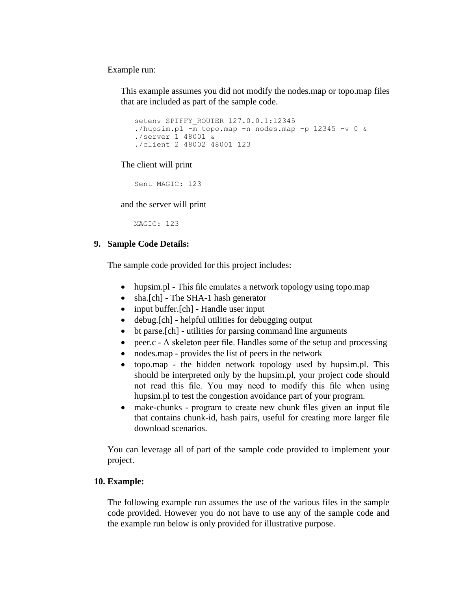Example run:

This example assumes you did not modify the nodes.map or topo.map files that are included as part of the sample code.

```
setenv SPIFFY_ROUTER 127.0.0.1:12345
./hupsim.pl -m topo.map -n nodes.map -p 12345 -v 0 &
./server 1 48001 &
./client 2 48002 48001 123
```
The client will print

Sent MAGIC: 123

and the server will print

MAGIC: 123

## **9. Sample Code Details:**

The sample code provided for this project includes:

- hupsim.pl This file emulates a network topology using topo.map
- sha.[ch] The SHA-1 hash generator
- input buffer.[ch] Handle user input
- debug.[ch] helpful utilities for debugging output
- bt parse.[ch] utilities for parsing command line arguments
- peer.c A skeleton peer file. Handles some of the setup and processing
- nodes.map provides the list of peers in the network
- topo.map the hidden network topology used by hupsim.pl. This should be interpreted only by the hupsim.pl, your project code should not read this file. You may need to modify this file when using hupsim.pl to test the congestion avoidance part of your program.
- make-chunks program to create new chunk files given an input file that contains chunk-id, hash pairs, useful for creating more larger file download scenarios.

You can leverage all of part of the sample code provided to implement your project.

## **10. Example:**

The following example run assumes the use of the various files in the sample code provided. However you do not have to use any of the sample code and the example run below is only provided for illustrative purpose.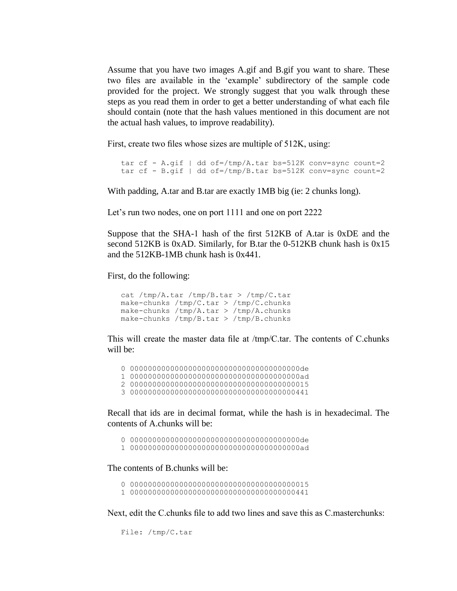Assume that you have two images A.gif and B.gif you want to share. These two files are available in the 'example' subdirectory of the sample code provided for the project. We strongly suggest that you walk through these steps as you read them in order to get a better understanding of what each file should contain (note that the hash values mentioned in this document are not the actual hash values, to improve readability).

First, create two files whose sizes are multiple of 512K, using:

```
tar cf - A.gif | dd of=/tmp/A.tar bs=512K conv=sync count=2
tar cf - B.gif | dd of=/tmp/B.tar bs=512K conv=sync count=2
```
With padding, A.tar and B.tar are exactly 1MB big (ie: 2 chunks long).

Let's run two nodes, one on port 1111 and one on port 2222

Suppose that the SHA-1 hash of the first 512KB of A.tar is 0xDE and the second 512KB is 0xAD. Similarly, for B.tar the 0-512KB chunk hash is 0x15 and the 512KB-1MB chunk hash is 0x441.

First, do the following:

```
cat /tmp/A.tar /tmp/B.tar > /tmp/C.tar
make-chunks /tmp/C.tar > /tmp/C.chunks
make-chunks /tmp/A.tar > /tmp/A.chunks
make-chunks /tmp/B.tar > /tmp/B.chunks
```
This will create the master data file at /tmp/C.tar. The contents of C.chunks will be:

0 00000000000000000000000000000000000000de

1 00000000000000000000000000000000000000ad

2 0000000000000000000000000000000000000015

3 0000000000000000000000000000000000000441

Recall that ids are in decimal format, while the hash is in hexadecimal. The contents of A.chunks will be:

0 00000000000000000000000000000000000000de

1 00000000000000000000000000000000000000ad

The contents of B.chunks will be:

- 0 0000000000000000000000000000000000000015
- 1 0000000000000000000000000000000000000441

Next, edit the C.chunks file to add two lines and save this as C.masterchunks:

File: /tmp/C.tar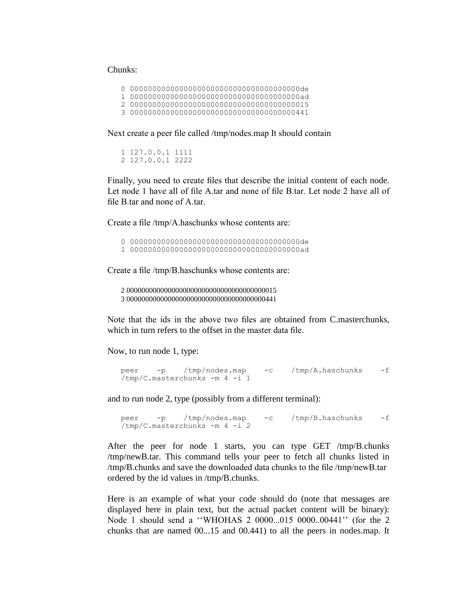#### Chunks:

|--|--|

- 1 00000000000000000000000000000000000000ad
- 2 0000000000000000000000000000000000000015
- 3 0000000000000000000000000000000000000441

Next create a peer file called /tmp/nodes.map It should contain

1 127.0.0.1 1111 2 127.0.0.1 2222

Finally, you need to create files that describe the initial content of each node. Let node 1 have all of file A.tar and none of file B.tar. Let node 2 have all of file B.tar and none of A.tar.

Create a file /tmp/A.haschunks whose contents are:

0 00000000000000000000000000000000000000de

1 00000000000000000000000000000000000000ad

Create a file /tmp/B.haschunks whose contents are:

2 0000000000000000000000000000000000000015 3 0000000000000000000000000000000000000441

Note that the ids in the above two files are obtained from C.masterchunks, which in turn refers to the offset in the master data file.

Now, to run node 1, type:

```
peer -p /tmp/nodes.map -c /tmp/A.haschunks -f 
/tmp/C.masterchunks -m 4 -i 1
```
and to run node 2, type (possibly from a different terminal):

```
peer -p /tmp/nodes.map -c /tmp/B.haschunks -f 
/tmp/C.masterchunks -m 4 -i 2
```
After the peer for node 1 starts, you can type GET /tmp/B.chunks /tmp/newB.tar. This command tells your peer to fetch all chunks listed in /tmp/B.chunks and save the downloaded data chunks to the file /tmp/newB.tar ordered by the id values in /tmp/B.chunks.

Here is an example of what your code should do (note that messages are displayed here in plain text, but the actual packet content will be binary): Node 1 should send a ''WHOHAS 2 0000...015 0000..00441'' (for the 2 chunks that are named 00...15 and 00.441) to all the peers in nodes.map. It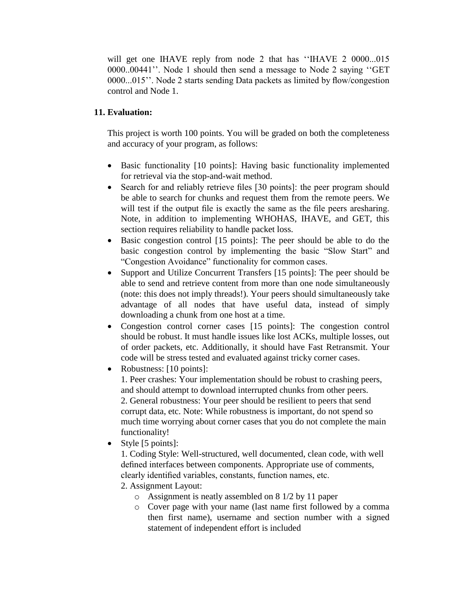will get one IHAVE reply from node 2 that has "IHAVE 2 0000...015 0000..00441''. Node 1 should then send a message to Node 2 saying ''GET 0000...015''. Node 2 starts sending Data packets as limited by flow/congestion control and Node 1.

# **11. Evaluation:**

This project is worth 100 points. You will be graded on both the completeness and accuracy of your program, as follows:

- Basic functionality [10 points]: Having basic functionality implemented for retrieval via the stop-and-wait method.
- Search for and reliably retrieve files [30 points]: the peer program should be able to search for chunks and request them from the remote peers. We will test if the output file is exactly the same as the file peers are sharing. Note, in addition to implementing WHOHAS, IHAVE, and GET, this section requires reliability to handle packet loss.
- Basic congestion control [15 points]: The peer should be able to do the basic congestion control by implementing the basic "Slow Start" and "Congestion Avoidance" functionality for common cases.
- Support and Utilize Concurrent Transfers [15 points]: The peer should be able to send and retrieve content from more than one node simultaneously (note: this does not imply threads!). Your peers should simultaneously take advantage of all nodes that have useful data, instead of simply downloading a chunk from one host at a time.
- Congestion control corner cases [15 points]: The congestion control should be robust. It must handle issues like lost ACKs, multiple losses, out of order packets, etc. Additionally, it should have Fast Retransmit. Your code will be stress tested and evaluated against tricky corner cases.
- Robustness: [10 points]:

1. Peer crashes: Your implementation should be robust to crashing peers, and should attempt to download interrupted chunks from other peers. 2. General robustness: Your peer should be resilient to peers that send corrupt data, etc. Note: While robustness is important, do not spend so much time worrying about corner cases that you do not complete the main functionality!

 $\bullet$  Style [5 points]:

1. Coding Style: Well-structured, well documented, clean code, with well defined interfaces between components. Appropriate use of comments, clearly identified variables, constants, function names, etc.

- 2. Assignment Layout:
	- o Assignment is neatly assembled on 8 1/2 by 11 paper
	- o Cover page with your name (last name first followed by a comma then first name), username and section number with a signed statement of independent effort is included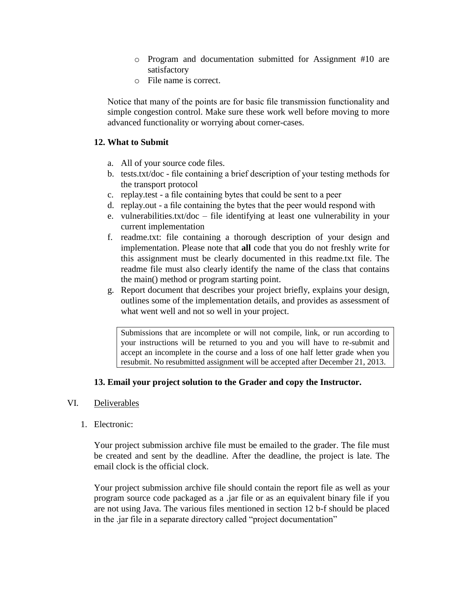- o Program and documentation submitted for Assignment #10 are satisfactory
- o File name is correct.

Notice that many of the points are for basic file transmission functionality and simple congestion control. Make sure these work well before moving to more advanced functionality or worrying about corner-cases.

## **12. What to Submit**

- a. All of your source code files.
- b. tests.txt/doc file containing a brief description of your testing methods for the transport protocol
- c. replay.test a file containing bytes that could be sent to a peer
- d. replay.out a file containing the bytes that the peer would respond with
- e. vulnerabilities.txt/doc file identifying at least one vulnerability in your current implementation
- f. readme.txt: file containing a thorough description of your design and implementation. Please note that **all** code that you do not freshly write for this assignment must be clearly documented in this readme.txt file. The readme file must also clearly identify the name of the class that contains the main() method or program starting point.
- g. Report document that describes your project briefly, explains your design, outlines some of the implementation details, and provides as assessment of what went well and not so well in your project.

Submissions that are incomplete or will not compile, link, or run according to your instructions will be returned to you and you will have to re-submit and accept an incomplete in the course and a loss of one half letter grade when you resubmit. No resubmitted assignment will be accepted after December 21, 2013.

## **13. Email your project solution to the Grader and copy the Instructor.**

## VI. Deliverables

1. Electronic:

Your project submission archive file must be emailed to the grader. The file must be created and sent by the deadline. After the deadline, the project is late. The email clock is the official clock.

Your project submission archive file should contain the report file as well as your program source code packaged as a .jar file or as an equivalent binary file if you are not using Java. The various files mentioned in section 12 b-f should be placed in the .jar file in a separate directory called "project documentation"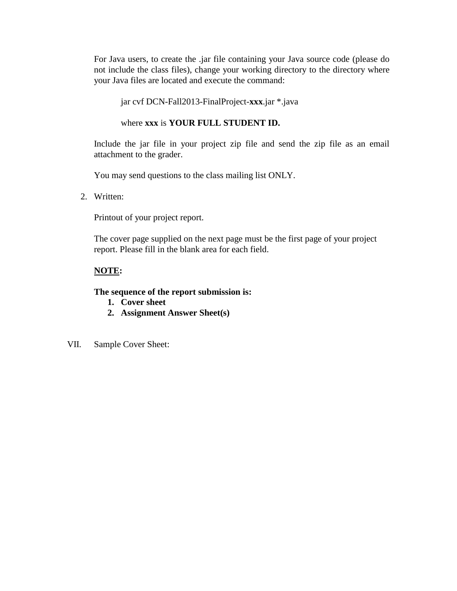For Java users, to create the .jar file containing your Java source code (please do not include the class files), change your working directory to the directory where your Java files are located and execute the command:

#### jar cvf DCN-Fall2013-FinalProject-**xxx**.jar \*.java

#### where **xxx** is **YOUR FULL STUDENT ID.**

Include the jar file in your project zip file and send the zip file as an email attachment to the grader.

You may send questions to the class mailing list ONLY.

2. Written:

Printout of your project report.

The cover page supplied on the next page must be the first page of your project report. Please fill in the blank area for each field.

## **NOTE:**

#### **The sequence of the report submission is:**

- **1. Cover sheet**
- **2. Assignment Answer Sheet(s)**
- VII. Sample Cover Sheet: